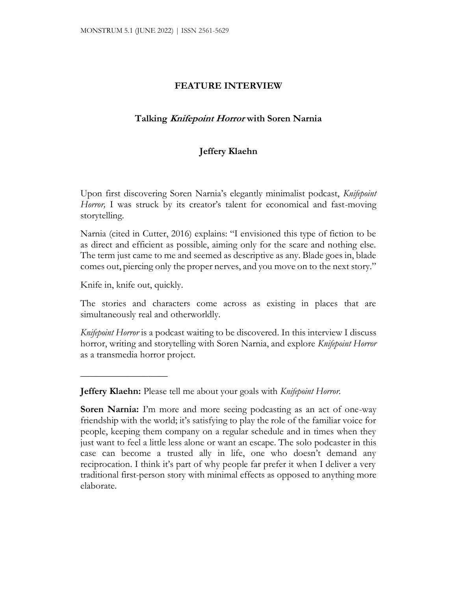### **FEATURE INTERVIEW**

# **Talking Knifepoint Horror with Soren Narnia**

# **Jeffery Klaehn**

Upon first discovering Soren Narnia's elegantly minimalist podcast, *Knifepoint Horror,* I was struck by its creator's talent for economical and fast-moving storytelling.

Narnia (cited in Cutter, 2016) explains: "I envisioned this type of fiction to be as direct and efficient as possible, aiming only for the scare and nothing else. The term just came to me and seemed as descriptive as any. Blade goes in, blade comes out, piercing only the proper nerves, and you move on to the next story."

Knife in, knife out, quickly.

 $\overline{\phantom{a}}$  , where  $\overline{\phantom{a}}$ 

The stories and characters come across as existing in places that are simultaneously real and otherworldly.

*Knifepoint Horror* is a podcast waiting to be discovered. In this interview I discuss horror, writing and storytelling with Soren Narnia, and explore *Knifepoint Horror* as a transmedia horror project.

**Jeffery Klaehn:** Please tell me about your goals with *Knifepoint Horror.*

**Soren Narnia:** I'm more and more seeing podcasting as an act of one-way friendship with the world; it's satisfying to play the role of the familiar voice for people, keeping them company on a regular schedule and in times when they just want to feel a little less alone or want an escape. The solo podcaster in this case can become a trusted ally in life, one who doesn't demand any reciprocation. I think it's part of why people far prefer it when I deliver a very traditional first-person story with minimal effects as opposed to anything more elaborate.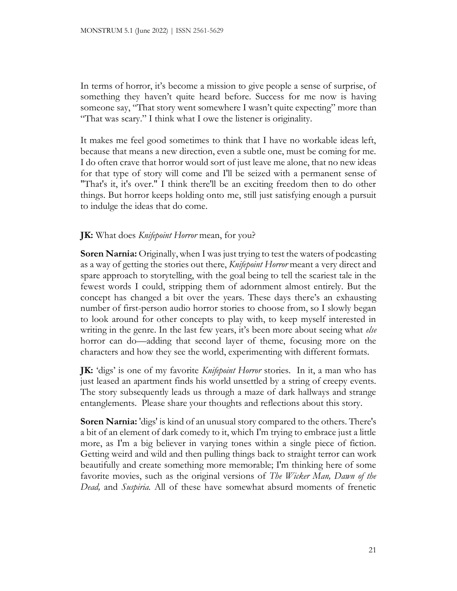In terms of horror, it's become a mission to give people a sense of surprise, of something they haven't quite heard before. Success for me now is having someone say, "That story went somewhere I wasn't quite expecting" more than "That was scary." I think what I owe the listener is originality.

It makes me feel good sometimes to think that I have no workable ideas left, because that means a new direction, even a subtle one, must be coming for me. I do often crave that horror would sort of just leave me alone, that no new ideas for that type of story will come and I'll be seized with a permanent sense of "That's it, it's over." I think there'll be an exciting freedom then to do other things. But horror keeps holding onto me, still just satisfying enough a pursuit to indulge the ideas that do come.

# **JK:** What does *Knifepoint Horror* mean, for you?

**Soren Narnia:** Originally, when I was just trying to test the waters of podcasting as a way of getting the stories out there, *Knifepoint Horror* meant a very direct and spare approach to storytelling, with the goal being to tell the scariest tale in the fewest words I could, stripping them of adornment almost entirely. But the concept has changed a bit over the years. These days there's an exhausting number of first-person audio horror stories to choose from, so I slowly began to look around for other concepts to play with, to keep myself interested in writing in the genre. In the last few years, it's been more about seeing what *else*  horror can do—adding that second layer of theme, focusing more on the characters and how they see the world, experimenting with different formats.

**JK:** 'digs' is one of my favorite *Knifepoint Horror* stories. In it, a man who has just leased an apartment finds his world unsettled by a string of creepy events. The story subsequently leads us through a maze of dark hallways and strange entanglements. Please share your thoughts and reflections about this story.

**Soren Narnia:** 'digs' is kind of an unusual story compared to the others. There's a bit of an element of dark comedy to it, which I'm trying to embrace just a little more, as I'm a big believer in varying tones within a single piece of fiction. Getting weird and wild and then pulling things back to straight terror can work beautifully and create something more memorable; I'm thinking here of some favorite movies, such as the original versions of *The Wicker Man, Dawn of the Dead,* and *Suspiria.* All of these have somewhat absurd moments of frenetic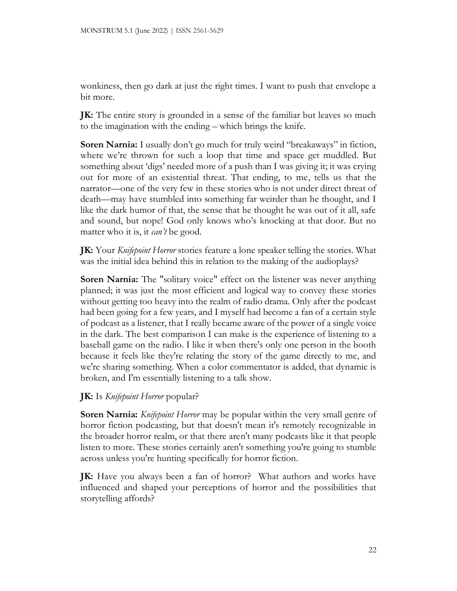wonkiness, then go dark at just the right times. I want to push that envelope a bit more.

**JK:** The entire story is grounded in a sense of the familiar but leaves so much to the imagination with the ending – which brings the knife.

**Soren Narnia:** I usually don't go much for truly weird "breakaways" in fiction, where we're thrown for such a loop that time and space get muddled. But something about 'digs' needed more of a push than I was giving it; it was crying out for more of an existential threat. That ending, to me, tells us that the narrator—one of the very few in these stories who is not under direct threat of death—may have stumbled into something far weirder than he thought, and I like the dark humor of that, the sense that he thought he was out of it all, safe and sound, but nope! God only knows who's knocking at that door. But no matter who it is, it *can't* be good.

**JK:** Your *Knifepoint Horror* stories feature a lone speaker telling the stories. What was the initial idea behind this in relation to the making of the audioplays?

**Soren Narnia:** The "solitary voice" effect on the listener was never anything planned; it was just the most efficient and logical way to convey these stories without getting too heavy into the realm of radio drama. Only after the podcast had been going for a few years, and I myself had become a fan of a certain style of podcast as a listener, that I really became aware of the power of a single voice in the dark. The best comparison I can make is the experience of listening to a baseball game on the radio. I like it when there's only one person in the booth because it feels like they're relating the story of the game directly to me, and we're sharing something. When a color commentator is added, that dynamic is broken, and I'm essentially listening to a talk show.

**JK:** Is *Knifepoint Horror* popular?

**Soren Narnia:** *Knifepoint Horror* may be popular within the very small genre of horror fiction podcasting, but that doesn't mean it's remotely recognizable in the broader horror realm, or that there aren't many podcasts like it that people listen to more. These stories certainly aren't something you're going to stumble across unless you're hunting specifically for horror fiction.

**JK:** Have you always been a fan of horror? What authors and works have influenced and shaped your perceptions of horror and the possibilities that storytelling affords?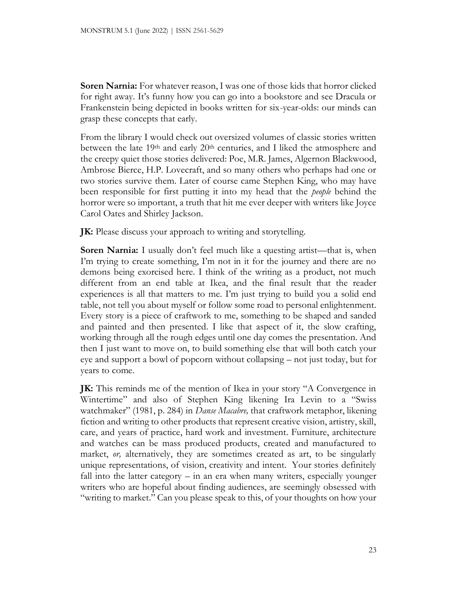**Soren Narnia:** For whatever reason, I was one of those kids that horror clicked for right away. It's funny how you can go into a bookstore and see Dracula or Frankenstein being depicted in books written for six-year-olds: our minds can grasp these concepts that early.

From the library I would check out oversized volumes of classic stories written between the late 19th and early 20th centuries, and I liked the atmosphere and the creepy quiet those stories delivered: Poe, M.R. James, Algernon Blackwood, Ambrose Bierce, H.P. Lovecraft, and so many others who perhaps had one or two stories survive them. Later of course came Stephen King, who may have been responsible for first putting it into my head that the *people* behind the horror were so important, a truth that hit me ever deeper with writers like Joyce Carol Oates and Shirley Jackson.

**JK:** Please discuss your approach to writing and storytelling.

**Soren Narnia:** I usually don't feel much like a questing artist—that is, when I'm trying to create something, I'm not in it for the journey and there are no demons being exorcised here. I think of the writing as a product, not much different from an end table at Ikea, and the final result that the reader experiences is all that matters to me. I'm just trying to build you a solid end table, not tell you about myself or follow some road to personal enlightenment. Every story is a piece of craftwork to me, something to be shaped and sanded and painted and then presented. I like that aspect of it, the slow crafting, working through all the rough edges until one day comes the presentation. And then I just want to move on, to build something else that will both catch your eye and support a bowl of popcorn without collapsing – not just today, but for years to come.

**JK:** This reminds me of the mention of Ikea in your story "A Convergence in Wintertime" and also of Stephen King likening Ira Levin to a "Swiss watchmaker" (1981, p. 284) in *Danse Macabre,* that craftwork metaphor, likening fiction and writing to other products that represent creative vision, artistry, skill, care, and years of practice, hard work and investment. Furniture, architecture and watches can be mass produced products, created and manufactured to market, *or,* alternatively, they are sometimes created as art, to be singularly unique representations, of vision, creativity and intent. Your stories definitely fall into the latter category – in an era when many writers, especially younger writers who are hopeful about finding audiences, are seemingly obsessed with "writing to market." Can you please speak to this, of your thoughts on how your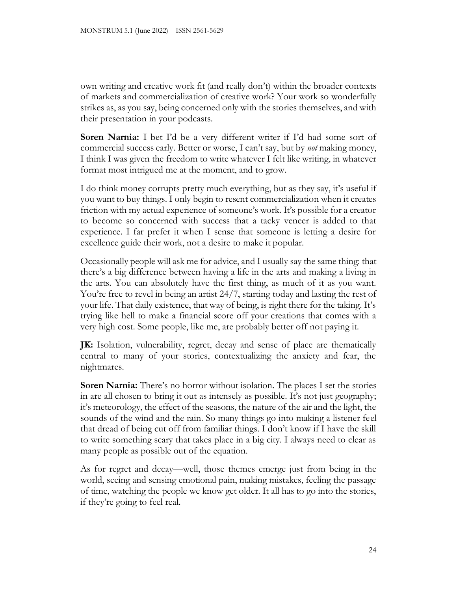own writing and creative work fit (and really don't) within the broader contexts of markets and commercialization of creative work? Your work so wonderfully strikes as, as you say, being concerned only with the stories themselves, and with their presentation in your podcasts.

**Soren Narnia:** I bet I'd be a very different writer if I'd had some sort of commercial success early. Better or worse, I can't say, but by *not* making money, I think I was given the freedom to write whatever I felt like writing, in whatever format most intrigued me at the moment, and to grow.

I do think money corrupts pretty much everything, but as they say, it's useful if you want to buy things. I only begin to resent commercialization when it creates friction with my actual experience of someone's work. It's possible for a creator to become so concerned with success that a tacky veneer is added to that experience. I far prefer it when I sense that someone is letting a desire for excellence guide their work, not a desire to make it popular.

Occasionally people will ask me for advice, and I usually say the same thing: that there's a big difference between having a life in the arts and making a living in the arts. You can absolutely have the first thing, as much of it as you want. You're free to revel in being an artist 24/7, starting today and lasting the rest of your life. That daily existence, that way of being, is right there for the taking. It's trying like hell to make a financial score off your creations that comes with a very high cost. Some people, like me, are probably better off not paying it.

**JK:** Isolation, vulnerability, regret, decay and sense of place are thematically central to many of your stories, contextualizing the anxiety and fear, the nightmares.

**Soren Narnia:** There's no horror without isolation. The places I set the stories in are all chosen to bring it out as intensely as possible. It's not just geography; it's meteorology, the effect of the seasons, the nature of the air and the light, the sounds of the wind and the rain. So many things go into making a listener feel that dread of being cut off from familiar things. I don't know if I have the skill to write something scary that takes place in a big city. I always need to clear as many people as possible out of the equation.

As for regret and decay—well, those themes emerge just from being in the world, seeing and sensing emotional pain, making mistakes, feeling the passage of time, watching the people we know get older. It all has to go into the stories, if they're going to feel real.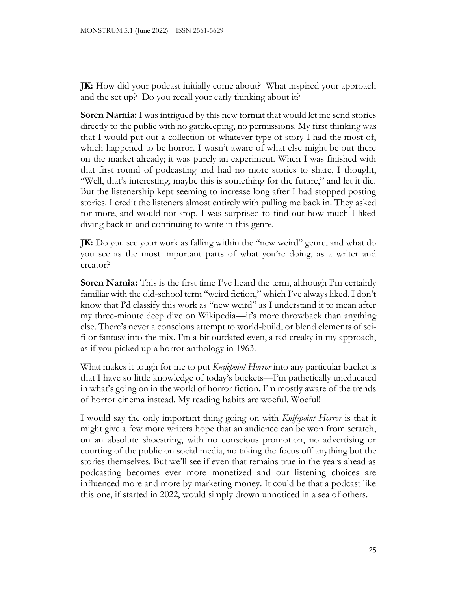**JK:** How did your podcast initially come about? What inspired your approach and the set up? Do you recall your early thinking about it?

**Soren Narnia:** I was intrigued by this new format that would let me send stories directly to the public with no gatekeeping, no permissions. My first thinking was that I would put out a collection of whatever type of story I had the most of, which happened to be horror. I wasn't aware of what else might be out there on the market already; it was purely an experiment. When I was finished with that first round of podcasting and had no more stories to share, I thought, "Well, that's interesting, maybe this is something for the future," and let it die. But the listenership kept seeming to increase long after I had stopped posting stories. I credit the listeners almost entirely with pulling me back in. They asked for more, and would not stop. I was surprised to find out how much I liked diving back in and continuing to write in this genre.

**JK:** Do you see your work as falling within the "new weird" genre, and what do you see as the most important parts of what you're doing, as a writer and creator?

**Soren Narnia:** This is the first time I've heard the term, although I'm certainly familiar with the old-school term "weird fiction," which I've always liked. I don't know that I'd classify this work as "new weird" as I understand it to mean after my three-minute deep dive on Wikipedia—it's more throwback than anything else. There's never a conscious attempt to world-build, or blend elements of scifi or fantasy into the mix. I'm a bit outdated even, a tad creaky in my approach, as if you picked up a horror anthology in 1963.

What makes it tough for me to put *Knifepoint Horror* into any particular bucket is that I have so little knowledge of today's buckets—I'm pathetically uneducated in what's going on in the world of horror fiction. I'm mostly aware of the trends of horror cinema instead. My reading habits are woeful. Woeful!

I would say the only important thing going on with *Knifepoint Horror* is that it might give a few more writers hope that an audience can be won from scratch, on an absolute shoestring, with no conscious promotion, no advertising or courting of the public on social media, no taking the focus off anything but the stories themselves. But we'll see if even that remains true in the years ahead as podcasting becomes ever more monetized and our listening choices are influenced more and more by marketing money. It could be that a podcast like this one, if started in 2022, would simply drown unnoticed in a sea of others.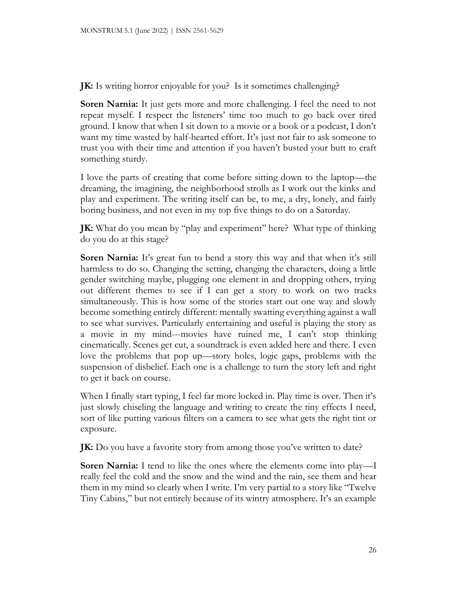**JK:** Is writing horror enjoyable for you? Is it sometimes challenging?

**Soren Narnia:** It just gets more and more challenging. I feel the need to not repeat myself. I respect the listeners' time too much to go back over tired ground. I know that when I sit down to a movie or a book or a podcast, I don't want my time wasted by half-hearted effort. It's just not fair to ask someone to trust you with their time and attention if you haven't busted your butt to craft something sturdy.

I love the parts of creating that come before sitting down to the laptop—the dreaming, the imagining, the neighborhood strolls as I work out the kinks and play and experiment. The writing itself can be, to me, a dry, lonely, and fairly boring business, and not even in my top five things to do on a Saturday.

**JK:** What do you mean by "play and experiment" here? What type of thinking do you do at this stage?

**Soren Narnia:** It's great fun to bend a story this way and that when it's still harmless to do so. Changing the setting, changing the characters, doing a little gender switching maybe, plugging one element in and dropping others, trying out different themes to see if I can get a story to work on two tracks simultaneously. This is how some of the stories start out one way and slowly become something entirely different: mentally swatting everything against a wall to see what survives. Particularly entertaining and useful is playing the story as a movie in my mind---movies have ruined me, I can't stop thinking cinematically. Scenes get cut, a soundtrack is even added here and there. I even love the problems that pop up—story holes, logic gaps, problems with the suspension of disbelief. Each one is a challenge to turn the story left and right to get it back on course.

When I finally start typing, I feel far more locked in. Play time is over. Then it's just slowly chiseling the language and writing to create the tiny effects I need, sort of like putting various filters on a camera to see what gets the right tint or exposure.

**JK:** Do you have a favorite story from among those you've written to date?

**Soren Narnia:** I tend to like the ones where the elements come into play—I really feel the cold and the snow and the wind and the rain, see them and hear them in my mind so clearly when I write. I'm very partial to a story like "Twelve Tiny Cabins," but not entirely because of its wintry atmosphere. It's an example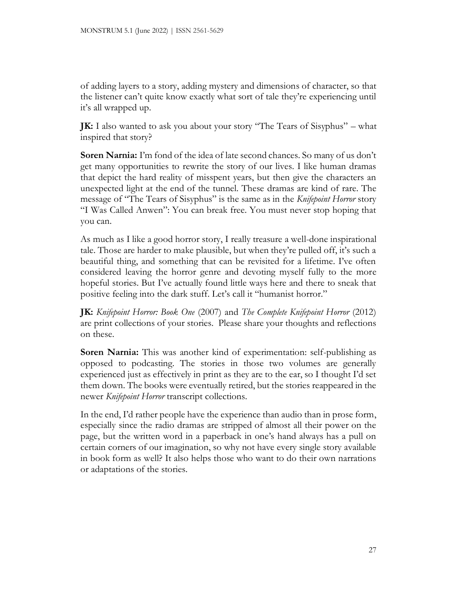of adding layers to a story, adding mystery and dimensions of character, so that the listener can't quite know exactly what sort of tale they're experiencing until it's all wrapped up.

**JK:** I also wanted to ask you about your story "The Tears of Sisyphus" – what inspired that story?

**Soren Narnia:** I'm fond of the idea of late second chances. So many of us don't get many opportunities to rewrite the story of our lives. I like human dramas that depict the hard reality of misspent years, but then give the characters an unexpected light at the end of the tunnel. These dramas are kind of rare. The message of "The Tears of Sisyphus" is the same as in the *Knifepoint Horror* story "I Was Called Anwen": You can break free. You must never stop hoping that you can.

As much as I like a good horror story, I really treasure a well-done inspirational tale. Those are harder to make plausible, but when they're pulled off, it's such a beautiful thing, and something that can be revisited for a lifetime. I've often considered leaving the horror genre and devoting myself fully to the more hopeful stories. But I've actually found little ways here and there to sneak that positive feeling into the dark stuff. Let's call it "humanist horror."

**JK:** *Knifepoint Horror: Book One* (2007) and *The Complete Knifepoint Horror* (2012) are print collections of your stories. Please share your thoughts and reflections on these.

**Soren Narnia:** This was another kind of experimentation: self-publishing as opposed to podcasting. The stories in those two volumes are generally experienced just as effectively in print as they are to the ear, so I thought I'd set them down. The books were eventually retired, but the stories reappeared in the newer *Knifepoint Horror* transcript collections.

In the end, I'd rather people have the experience than audio than in prose form, especially since the radio dramas are stripped of almost all their power on the page, but the written word in a paperback in one's hand always has a pull on certain corners of our imagination, so why not have every single story available in book form as well? It also helps those who want to do their own narrations or adaptations of the stories.